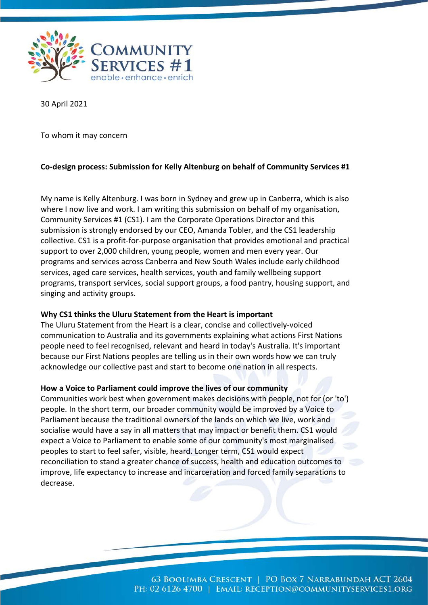

30 April 2021

To whom it may concern

## **Co-design process: Submission for Kelly Altenburg on behalf of Community Services #1**

My name is Kelly Altenburg. I was born in Sydney and grew up in Canberra, which is also where I now live and work. I am writing this submission on behalf of my organisation, Community Services #1 (CS1). I am the Corporate Operations Director and this submission is strongly endorsed by our CEO, Amanda Tobler, and the CS1 leadership collective. CS1 is a profit-for-purpose organisation that provides emotional and practical support to over 2,000 children, young people, women and men every year. Our programs and services across Canberra and New South Wales include early childhood services, aged care services, health services, youth and family wellbeing support programs, transport services, social support groups, a food pantry, housing support, and singing and activity groups.

### **Why CS1 thinks the Uluru Statement from the Heart is important**

The Uluru Statement from the Heart is a clear, concise and collectively-voiced communication to Australia and its governments explaining what actions First Nations people need to feel recognised, relevant and heard in today's Australia. It's important because our First Nations peoples are telling us in their own words how we can truly acknowledge our collective past and start to become one nation in all respects.

### **How a Voice to Parliament could improve the lives of our community**

Communities work best when government makes decisions with people, not for (or 'to') people. In the short term, our broader community would be improved by a Voice to Parliament because the traditional owners of the lands on which we live, work and socialise would have a say in all matters that may impact or benefit them. CS1 would expect a Voice to Parliament to enable some of our community's most marginalised peoples to start to feel safer, visible, heard. Longer term, CS1 would expect reconciliation to stand a greater chance of success, health and education outcomes to improve, life expectancy to increase and incarceration and forced family separations to decrease.